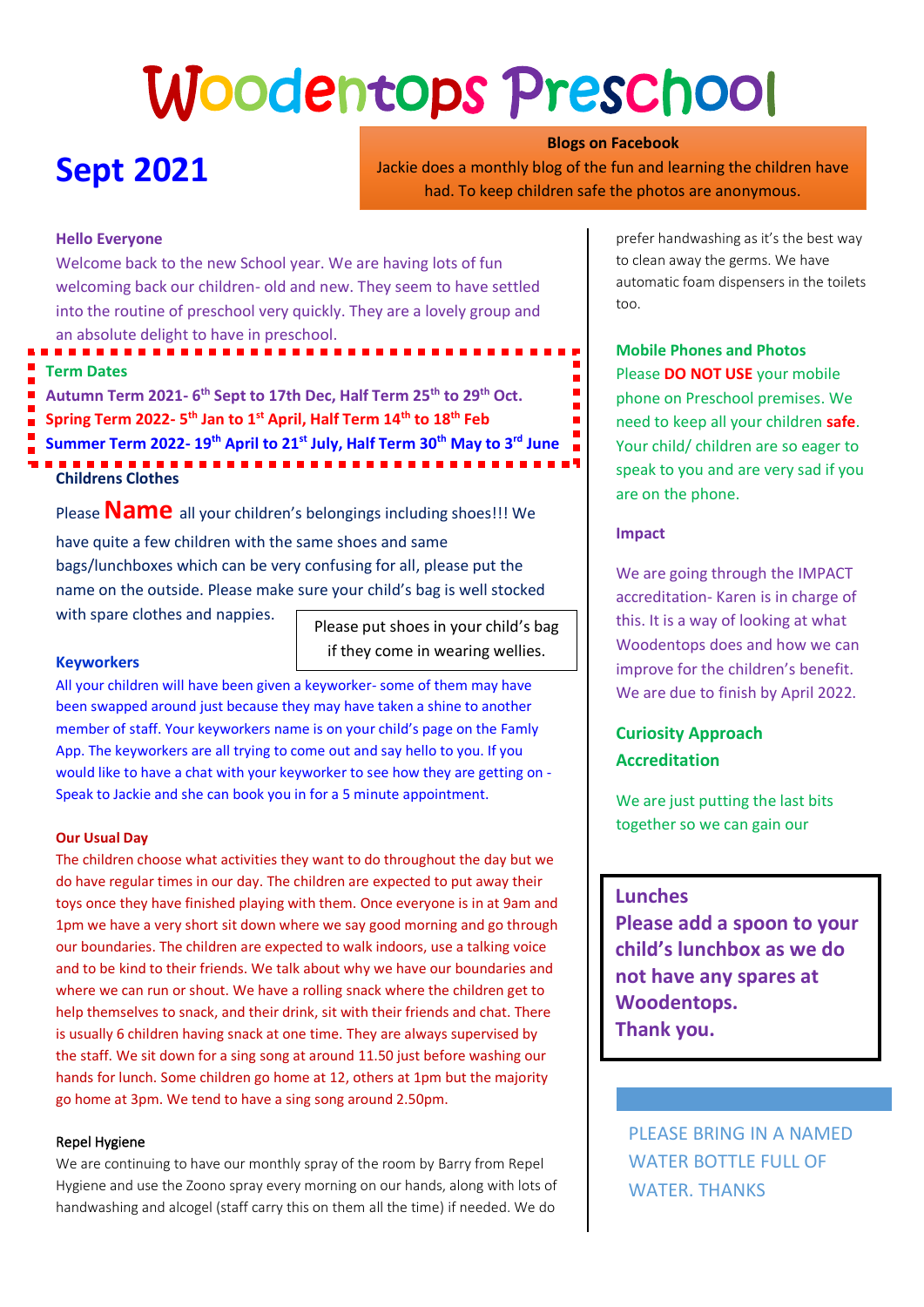# Woodentops Preschool

# **Sept 2021**

**Blogs on Facebook** Jackie does a monthly blog of the fun and learning the children have had. To keep children safe the photos are anonymous.

### **Hello Everyone**

Welcome back to the new School year. We are having lots of fun welcoming back our children- old and new. They seem to have settled into the routine of preschool very quickly. They are a lovely group and an absolute delight to have in preschool.

# **Term Dates**

**Childrens Clothes Autumn Term 2021- 6 th Sept to 17th Dec, Half Term 25th to 29th Oct. Spring Term 2022- 5 th Jan to 1st April, Half Term 14th to 18th Feb Summer Term 2022- 19th April to 21st July, Half Term 30th May to 3rd June**

Please **Name** all your children's belongings including shoes!!! We have quite a few children with the same shoes and same bags/lunchboxes which can be very confusing for all, please put the name on the outside. Please make sure your child's bag is well stocked with spare clothes and nappies.

Please put shoes in your child's bag if they come in wearing wellies.

#### **Keyworkers**

All your children will have been given a keyworker- some of them may have been swapped around just because they may have taken a shine to another member of staff. Your keyworkers name is on your child's page on the Famly App. The keyworkers are all trying to come out and say hello to you. If you would like to have a chat with your keyworker to see how they are getting on - Speak to Jackie and she can book you in for a 5 minute appointment.

#### **Our Usual Day**

The children choose what activities they want to do throughout the day but we do have regular times in our day. The children are expected to put away their toys once they have finished playing with them. Once everyone is in at 9am and 1pm we have a very short sit down where we say good morning and go through our boundaries. The children are expected to walk indoors, use a talking voice and to be kind to their friends. We talk about why we have our boundaries and where we can run or shout. We have a rolling snack where the children get to help themselves to snack, and their drink, sit with their friends and chat. There is usually 6 children having snack at one time. They are always supervised by the staff. We sit down for a sing song at around 11.50 just before washing our hands for lunch. Some children go home at 12, others at 1pm but the majority go home at 3pm. We tend to have a sing song around 2.50pm.

#### Repel Hygiene

We are continuing to have our monthly spray of the room by Barry from Repel Hygiene and use the Zoono spray every morning on our hands, along with lots of handwashing and alcogel (staff carry this on them all the time) if needed. We do

prefer handwashing as it's the best way to clean away the germs. We have automatic foam dispensers in the toilets too.

**Mobile Phones and Photos** Please **DO NOT USE** your mobile phone on Preschool premises. We need to keep all your children **safe**. Your child/ children are so eager to speak to you and are very sad if you

#### **Impact**

are on the phone.

We are going through the IMPACT accreditation- Karen is in charge of this. It is a way of looking at what Woodentops does and how we can improve for the children's benefit. We are due to finish by April 2022.

# **Curiosity Approach Accreditation**

We are just putting the last bits together so we can gain our

## **Lunches**

**Please add a spoon to your child's lunchbox as we do not have any spares at Woodentops. Thank you.**

PLEASE BRING IN A NAMED WATER BOTTLE FULL OF WATER. THANKS